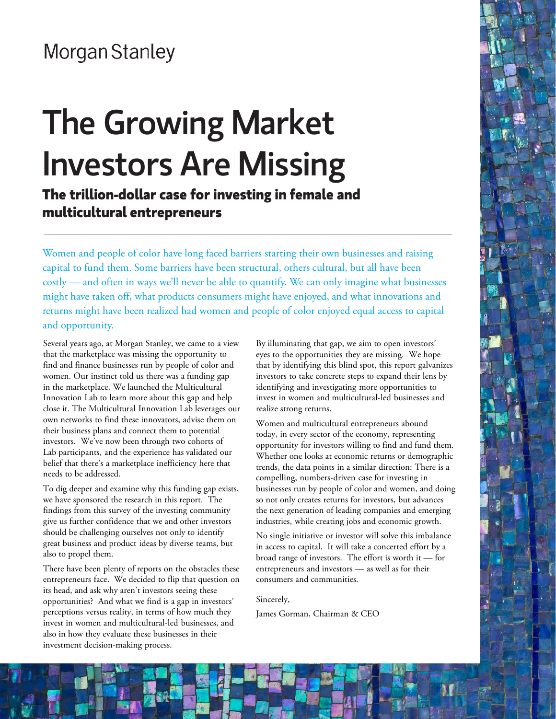## **Morgan Stanley**

# The Growing Market Investors Are Missing

**The trillion-dollar case for investing in female and multicultural entrepreneurs**

Women and people of color have long faced barriers starting their own businesses and raising capital to fund them. Some barriers have been structural, others cultural, but all have been costly — and often in ways we'll never be able to quantify. We can only imagine what businesses might have taken off, what products consumers might have enjoyed, and what innovations and returns might have been realized had women and people of color enjoyed equal access to capital and opportunity.

Several years ago, at Morgan Stanley, we came to a view that the marketplace was missing the opportunity to find and finance businesses run by people of color and women. Our instinct told us there was a funding gap in the marketplace. We launched the Multicultural Innovation Lab to learn more about this gap and help close it. The Multicultural Innovation Lab leverages our own networks to find these innovators, advise them on their business plans and connect them to potential investors. We've now been through two cohorts of Lab participants, and the experience has validated our belief that there's a marketplace inefficiency here that needs to be addressed.

To dig deeper and examine why this funding gap exists, we have sponsored the research in this report. The findings from this survey of the investing community give us further confidence that we and other investors should be challenging ourselves not only to identify great business and product ideas by diverse teams, but also to propel them.

There have been plenty of reports on the obstacles these entrepreneurs face. We decided to flip that question on its head, and ask why aren't investors seeing these opportunities? And what we find is a gap in investors' perceptions versus reality, in terms of how much they invest in women and multicultural-led businesses, and also in how they evaluate these businesses in their investment decision-making process.

By illuminating that gap, we aim to open investors' eyes to the opportunities they are missing. We hope that by identifying this blind spot, this report galvanizes investors to take concrete steps to expand their lens by identifying and investigating more opportunities to invest in women and multicultural-led businesses and realize strong returns.

Women and multicultural entrepreneurs abound today, in every sector of the economy, representing opportunity for investors willing to find and fund them. Whether one looks at economic returns or demographic trends, the data points in a similar direction: There is a compelling, numbers-driven case for investing in businesses run by people of color and women, and doing so not only creates returns for investors, but advances the next generation of leading companies and emerging industries, while creating jobs and economic growth.

No single initiative or investor will solve this imbalance in access to capital. It will take a concerted effort by a broad range of investors. The effort is worth it — for entrepreneurs and investors — as well as for their consumers and communities.

Sincerely,

James Gorman, Chairman & CEO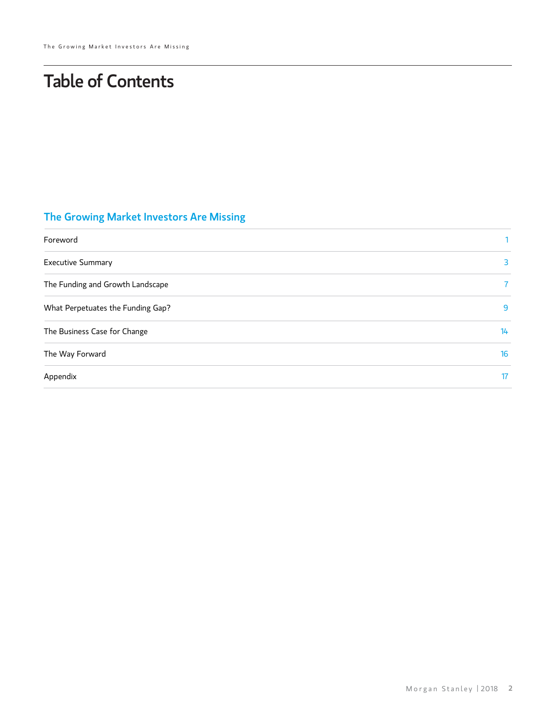## Table of Contents

## The Growing Market Investors Are Missing

| Foreword                          |              |
|-----------------------------------|--------------|
| <b>Executive Summary</b>          | 3            |
| The Funding and Growth Landscape  | $\mathbf{7}$ |
| What Perpetuates the Funding Gap? | 9            |
| The Business Case for Change      | 14           |
| The Way Forward                   | 16           |
| Appendix                          | 17           |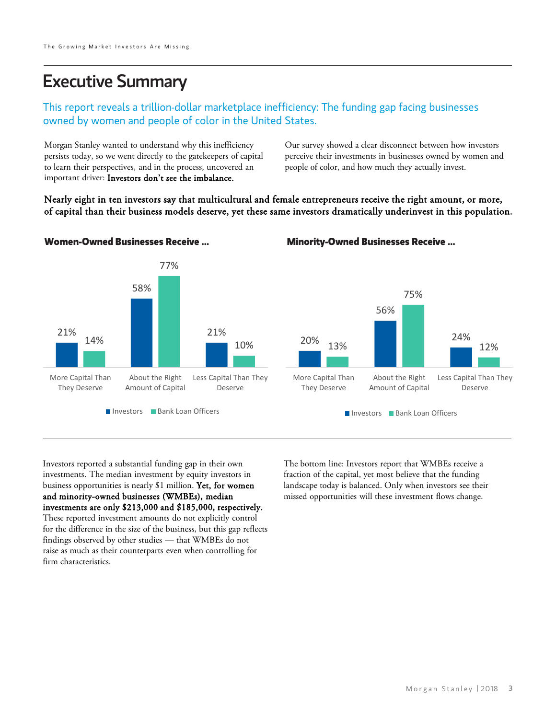## Executive Summary

#### This report reveals a trillion-dollar marketplace inefficiency: The funding gap facing businesses owned by women and people of color in the United States.

Morgan Stanley wanted to understand why this inefficiency persists today, so we went directly to the gatekeepers of capital to learn their perspectives, and in the process, uncovered an important driver: Investors don't see the imbalance.

Our survey showed a clear disconnect between how investors perceive their investments in businesses owned by women and people of color, and how much they actually invest.

Nearly eight in ten investors say that multicultural and female entrepreneurs receive the right amount, or more, of capital than their business models deserve, yet these same investors dramatically underinvest in this population.



#### **Women-Owned Businesses Receive ... Minority-Owned Businesses Receive ...**

Investors reported a substantial funding gap in their own investments. The median investment by equity investors in business opportunities is nearly \$1 million. Yet, for women and minority-owned businesses (WMBEs), median investments are only \$213,000 and \$185,000, respectively. These reported investment amounts do not explicitly control for the difference in the size of the business, but this gap reflects findings observed by other studies — that WMBEs do not raise as much as their counterparts even when controlling for firm characteristics.

The bottom line: Investors report that WMBEs receive a fraction of the capital, yet most believe that the funding landscape today is balanced. Only when investors see their missed opportunities will these investment flows change.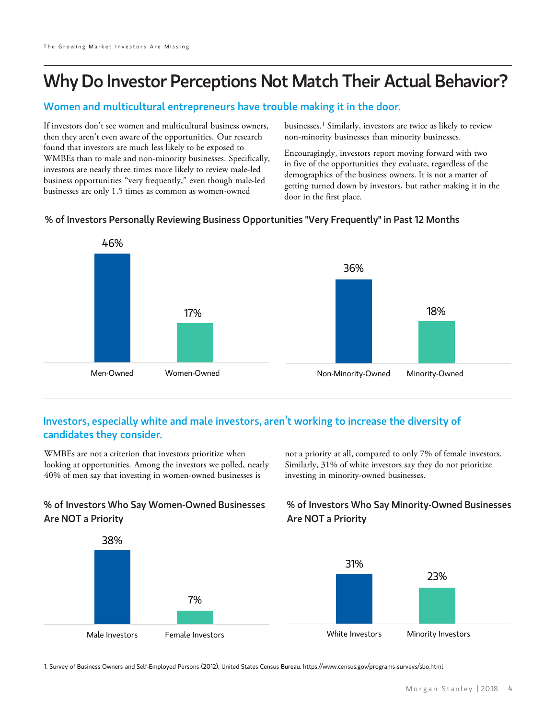## Why Do Investor Perceptions Not Match Their Actual Behavior?

#### Women and multicultural entrepreneurs have trouble making it in the door.

If investors don't see women and multicultural business owners, then they aren't even aware of the opportunities. Our research found that investors are much less likely to be exposed to WMBEs than to male and non-minority businesses. Specifically, investors are nearly three times more likely to review male-led business opportunities "very frequently," even though male-led businesses are only 1.5 times as common as women-owned

businesses.1 Similarly, investors are twice as likely to review non-minority businesses than minority businesses.

Encouragingly, investors report moving forward with two in five of the opportunities they evaluate, regardless of the demographics of the business owners. It is not a matter of getting turned down by investors, but rather making it in the door in the first place.

#### % of Investors Personally Reviewing Business Opportunities "Very Frequently" in Past 12 Months



#### Investors, especially white and male investors, aren't working to increase the diversity of candidates they consider.

WMBEs are not a criterion that investors prioritize when looking at opportunities. Among the investors we polled, nearly 40% of men say that investing in women-owned businesses is

not a priority at all, compared to only 7% of female investors. Similarly, 31% of white investors say they do not prioritize investing in minority-owned businesses.

#### % of Investors Who Say Women-Owned Businesses Are NOT a Priority

#### % of Investors Who Say Minority-Owned Businesses Are NOT a Priority



1. Survey of Business Owners and Self-Employed Persons (2012). United States Census Bureau. https://www.census.gov/programs-surveys/sbo.html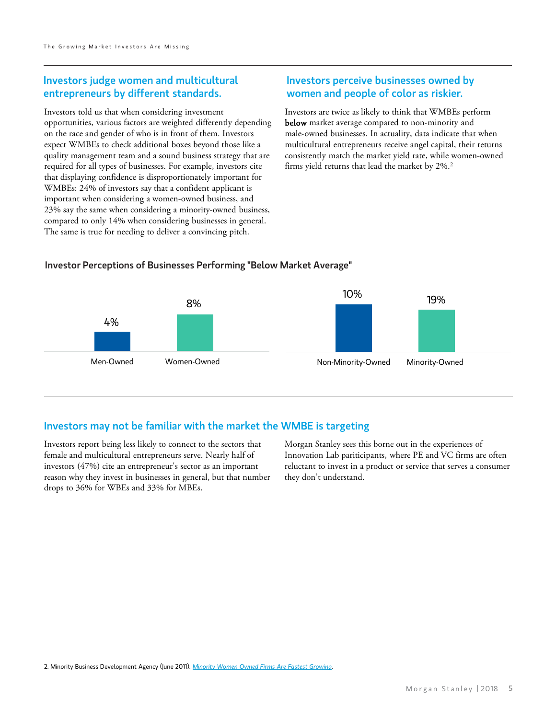#### Investors judge women and multicultural entrepreneurs by different standards.

Investors told us that when considering investment opportunities, various factors are weighted differently depending on the race and gender of who is in front of them. Investors expect WMBEs to check additional boxes beyond those like a quality management team and a sound business strategy that are required for all types of businesses. For example, investors cite that displaying confidence is disproportionately important for WMBEs: 24% of investors say that a confident applicant is important when considering a women-owned business, and 23% say the same when considering a minority-owned business, compared to only 14% when considering businesses in general. The same is true for needing to deliver a convincing pitch.

#### Investors perceive businesses owned by women and people of color as riskier.

Investors are twice as likely to think that WMBEs perform below market average compared to non-minority and male-owned businesses. In actuality, data indicate that when multicultural entrepreneurs receive angel capital, their returns consistently match the market yield rate, while women-owned firms yield returns that lead the market by 2%.2

#### Investor Perceptions of Businesses Performing "Below Market Average"



#### Investors may not be familiar with the market the WMBE is targeting

Investors report being less likely to connect to the sectors that female and multicultural entrepreneurs serve. Nearly half of investors (47%) cite an entrepreneur's sector as an important reason why they invest in businesses in general, but that number drops to 36% for WBEs and 33% for MBEs.

Morgan Stanley sees this borne out in the experiences of Innovation Lab pariticipants, where PE and VC firms are often reluctant to invest in a product or service that serves a consumer they don't understand.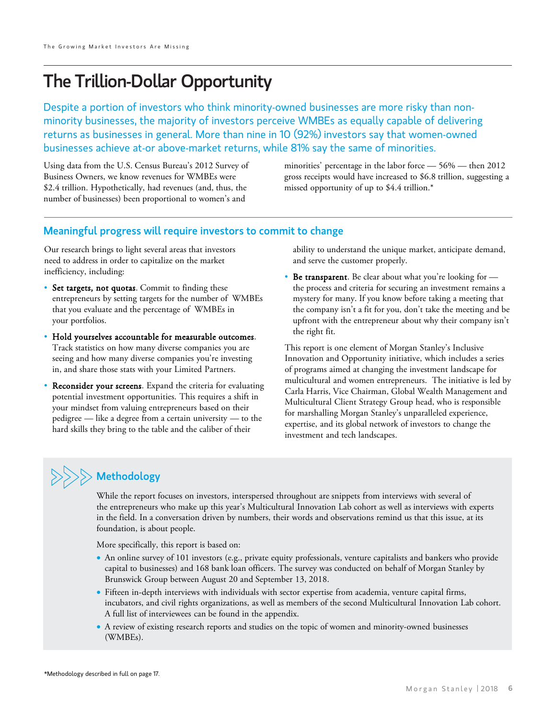## The Trillion-Dollar Opportunity

Despite a portion of investors who think minority-owned businesses are more risky than nonminority businesses, the majority of investors perceive WMBEs as equally capable of delivering returns as businesses in general. More than nine in 10 (92%) investors say that women-owned businesses achieve at-or above-market returns, while 81% say the same of minorities.

Using data from the U.S. Census Bureau's 2012 Survey of Business Owners, we know revenues for WMBEs were \$2.4 trillion. Hypothetically, had revenues (and, thus, the number of businesses) been proportional to women's and

minorities' percentage in the labor force — 56% — then 2012 gross receipts would have increased to \$6.8 trillion, suggesting a missed opportunity of up to \$4.4 trillion.\*

#### Meaningful progress will require investors to commit to change

Our research brings to light several areas that investors need to address in order to capitalize on the market inefficiency, including:

- Set targets, not quotas. Commit to finding these entrepreneurs by setting targets for the number of WMBEs that you evaluate and the percentage of WMBEs in your portfolios.
- Hold yourselves accountable for measurable outcomes. Track statistics on how many diverse companies you are seeing and how many diverse companies you're investing in, and share those stats with your Limited Partners.
- Reconsider your screens. Expand the criteria for evaluating potential investment opportunities. This requires a shift in your mindset from valuing entrepreneurs based on their pedigree — like a degree from a certain university — to the hard skills they bring to the table and the caliber of their

ability to understand the unique market, anticipate demand, and serve the customer properly.

• Be transparent. Be clear about what you're looking for the process and criteria for securing an investment remains a mystery for many. If you know before taking a meeting that the company isn't a fit for you, don't take the meeting and be upfront with the entrepreneur about why their company isn't the right fit.

This report is one element of Morgan Stanley's Inclusive Innovation and Opportunity initiative, which includes a series of programs aimed at changing the investment landscape for multicultural and women entrepreneurs. The initiative is led by Carla Harris, Vice Chairman, Global Wealth Management and Multicultural Client Strategy Group head, who is responsible for marshalling Morgan Stanley's unparalleled experience, expertise, and its global network of investors to change the investment and tech landscapes.

### • ideas. Also consider the value of the entrepreneur's ability to  $\gg$  Methodology

While the report focuses on investors, interspersed throughout are snippets from interviews with several of the entrepreneurs who make up this year's Multicultural Innovation Lab cohort as well as interviews with experts in the field. In a conversation driven by numbers, their words and observations remind us that this issue, at its foundation, is about people.

More specifically, this report is based on:

- An online survey of 101 investors (e.g., private equity professionals, venture capitalists and bankers who provide capital to businesses) and 168 bank loan officers. The survey was conducted on behalf of Morgan Stanley by Brunswick Group between August 20 and September 13, 2018.
- Fifteen in-depth interviews with individuals with sector expertise from academia, venture capital firms, incubators, and civil rights organizations, as well as members of the second Multicultural Innovation Lab cohort. A full list of interviewees can be found in the appendix.
- A review of existing research reports and studies on the topic of women and minority-owned businesses (WMBEs).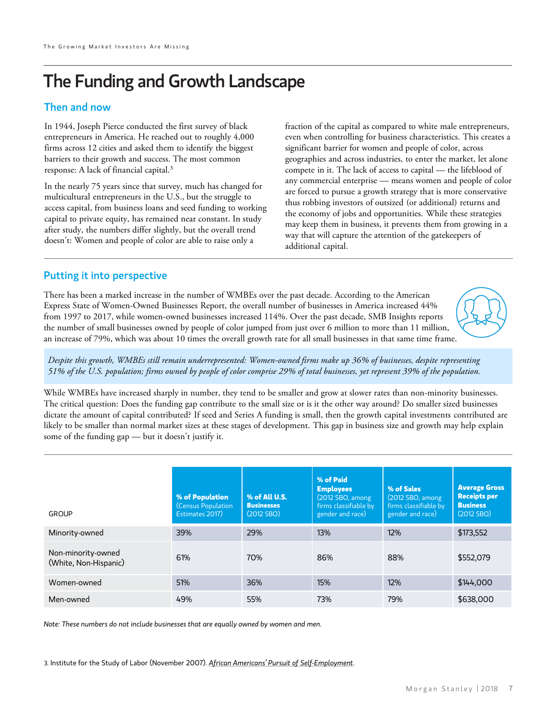## The Funding and Growth Landscape

#### Then and now

In 1944, Joseph Pierce conducted the first survey of black entrepreneurs in America. He reached out to roughly 4,000 firms across 12 cities and asked them to identify the biggest barriers to their growth and success. The most common response: A lack of financial capital.3

In the nearly 75 years since that survey, much has changed for multicultural entrepreneurs in the U.S., but the struggle to access capital, from business loans and seed funding to working capital to private equity, has remained near constant. In study after study, the numbers differ slightly, but the overall trend doesn't: Women and people of color are able to raise only a

fraction of the capital as compared to white male entrepreneurs, even when controlling for business characteristics. This creates a significant barrier for women and people of color, across geographies and across industries, to enter the market, let alone compete in it. The lack of access to capital — the lifeblood of any commercial enterprise — means women and people of color are forced to pursue a growth strategy that is more conservative thus robbing investors of outsized (or additional) returns and the economy of jobs and opportunities. While these strategies may keep them in business, it prevents them from growing in a way that will capture the attention of the gatekeepers of additional capital.

#### Putting it into perspective

There has been a marked increase in the number of WMBEs over the past decade. According to the American Express State of Women-Owned Businesses Report, the overall number of businesses in America increased 44% from 1997 to 2017, while women-owned businesses increased 114%. Over the past decade, SMB Insights reports the number of small businesses owned by people of color jumped from just over 6 million to more than 11 million, an increase of 79%, which was about 10 times the overall growth rate for all small businesses in that same time frame.



While WMBEs have increased sharply in number, they tend to be smaller and grow at slower rates than non-minority businesses. The critical question: Does the funding gap contribute to the small size or is it the other way around? Do smaller sized businesses dictate the amount of capital contributed? If seed and Series A funding is small, then the growth capital investments contributed are likely to be smaller than normal market sizes at these stages of development. This gap in business size and growth may help explain some of the funding gap — but it doesn't justify it.

| <b>GROUP</b>                                | % of Population<br>(Census Population<br>Estimates 2017) | % of All U.S.<br><b>Businesses</b><br>(2012 SBO) | % of Paid<br><b>Employees</b><br>(2012 SBO, among<br>firms classifiable by<br>gender and race) | % of Sales<br>(2012 SBO, among)<br>firms classifiable by<br>gender and race) | <b>Average Gross</b><br><b>Receipts per</b><br><b>Business</b><br>(2012 SBO) |
|---------------------------------------------|----------------------------------------------------------|--------------------------------------------------|------------------------------------------------------------------------------------------------|------------------------------------------------------------------------------|------------------------------------------------------------------------------|
| Minority-owned                              | 39%                                                      | 29%                                              | 13%                                                                                            | 12%                                                                          | \$173,552                                                                    |
| Non-minority-owned<br>(White, Non-Hispanic) | 61%                                                      | 70%                                              | 86%                                                                                            | 88%                                                                          | \$552,079                                                                    |
| Women-owned                                 | 51%                                                      | 36%                                              | 15%                                                                                            | 12%                                                                          | \$144,000                                                                    |
| Men-owned                                   | 49%                                                      | 55%                                              | 73%                                                                                            | 79%                                                                          | \$638,000                                                                    |

*Note: These numbers do not include businesses that are equally owned by women and men.*

[3. Institute for the Study of Labor \(November 2007\).](http://ftp.iza.org/dp3156.pdf) *African Americans' Pursuit of Self-Employment*.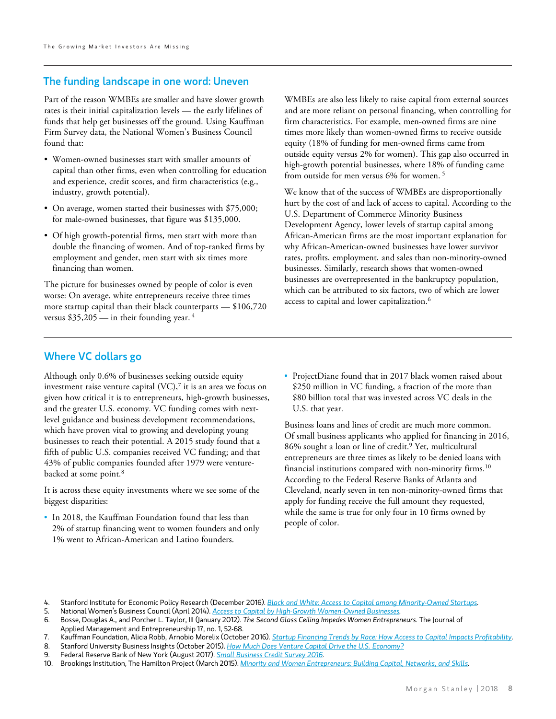#### The funding landscape in one word: Uneven

Part of the reason WMBEs are smaller and have slower growth rates is their initial capitalization levels — the early lifelines of funds that help get businesses off the ground. Using Kauffman Firm Survey data, the National Women's Business Council found that:

- Women-owned businesses start with smaller amounts of capital than other firms, even when controlling for education and experience, credit scores, and firm characteristics (e.g., industry, growth potential).
- On average, women started their businesses with \$75,000; for male-owned businesses, that figure was \$135,000.
- Of high growth-potential firms, men start with more than double the financing of women. And of top-ranked firms by employment and gender, men start with six times more financing than women.

The picture for businesses owned by people of color is even worse: On average, white entrepreneurs receive three times more startup capital than their black counterparts — \$106,720 versus  $$35,205$  — in their founding year. <sup>4</sup>

WMBEs are also less likely to raise capital from external sources and are more reliant on personal financing, when controlling for firm characteristics. For example, men-owned firms are nine times more likely than women-owned firms to receive outside equity (18% of funding for men-owned firms came from outside equity versus 2% for women). This gap also occurred in high-growth potential businesses, where 18% of funding came from outside for men versus 6% for women. 5

We know that of the success of WMBEs are disproportionally hurt by the cost of and lack of access to capital. According to the U.S. Department of Commerce Minority Business Development Agency, lower levels of startup capital among African-American firms are the most important explanation for why African-American-owned businesses have lower survivor rates, profits, employment, and sales than non-minority-owned businesses. Similarly, research shows that women-owned businesses are overrepresented in the bankruptcy population, which can be attributed to six factors, two of which are lower access to capital and lower capitalization.6

#### Where VC dollars go

Although only 0.6% of businesses seeking outside equity investment raise venture capital  $(VC)$ , it is an area we focus on given how critical it is to entrepreneurs, high-growth businesses, and the greater U.S. economy. VC funding comes with nextlevel guidance and business development recommendations, which have proven vital to growing and developing young businesses to reach their potential. A 2015 study found that a fifth of public U.S. companies received VC funding; and that 43% of public companies founded after 1979 were venturebacked at some point.<sup>8</sup>

It is across these equity investments where we see some of the biggest disparities:

• In 2018, the Kauffman Foundation found that less than 2% of startup financing went to women founders and only 1% went to African-American and Latino founders.

• ProjectDiane found that in 2017 black women raised about \$250 million in VC funding, a fraction of the more than \$80 billion total that was invested across VC deals in the U.S. that year.

Business loans and lines of credit are much more common. Of small business applicants who applied for financing in 2016, 86% sought a loan or line of credit.<sup>9</sup> Yet, multicultural entrepreneurs are three times as likely to be denied loans with financial institutions compared with non-minority firms.<sup>10</sup> According to the Federal Reserve Banks of Atlanta and Cleveland, nearly seven in ten non-minority-owned firms that apply for funding receive the full amount they requested, while the same is true for only four in 10 firms owned by people of color.

8. Stanford University Business Insights (October 2015). *[How Much Does Venture Capital Drive the U.S. Economy?](https://www.gsb.stanford.edu/insights/how-much-does-venture-capital-drive-us-economy)*

10. Brookings Institution, The Hamilton Project (March 2015). *[Minority and Women Entrepreneurs: Building Capital, Networks, and Skills.](https://www.brookings.edu/wp-content/uploads/2016/07/minority_women_entrepreneurs_building_skills_barr.pdf)*

<sup>4.</sup> Stanford Institute for Economic Policy Research (December 2016). *[Black and White: Access to Capital among Minority-Owned Startups.](https://siepr.stanford.edu/sites/default/files/publications/17-003.pdf)*

<sup>5.</sup> National Women's Business Council (April 2014). *[Access to Capital by High-Growth Women-Owned Businesses](http://awbc.org/wp-content/uploads/2014/10/Access-to-Capital-by-High-Growth-Women-Owned-Businesses-Robb-Final-Draft.pdf).*  6. Bosse, Douglas A., and Porcher L. Taylor, III (January 2012). *The Second Glass Ceiling Impedes Women Entrepreneurs.* The Journal of

Applied Management and Entrepreneurship 17, no. 1, 52-68.

<sup>7.</sup> Kauffman Foundation, Alicia Robb, Arnobio Morelix (October 2016). *[Startup Financing Trends by Race: How Access to Capital Impacts Profitability](https://www.kauffman.org/what-we-do/research/2016/startup-financing-trends-by-race-how-access-to-capital-impacts-profitability)*.

<sup>9.</sup> Federal Reserve Bank of New York (August 2017). *[Small Business Credit Survey 2016](https://www.newyorkfed.org/medialibrary/media/smallbusiness/2016/SBCS-Report-StartupFirms-2016.pdf)*.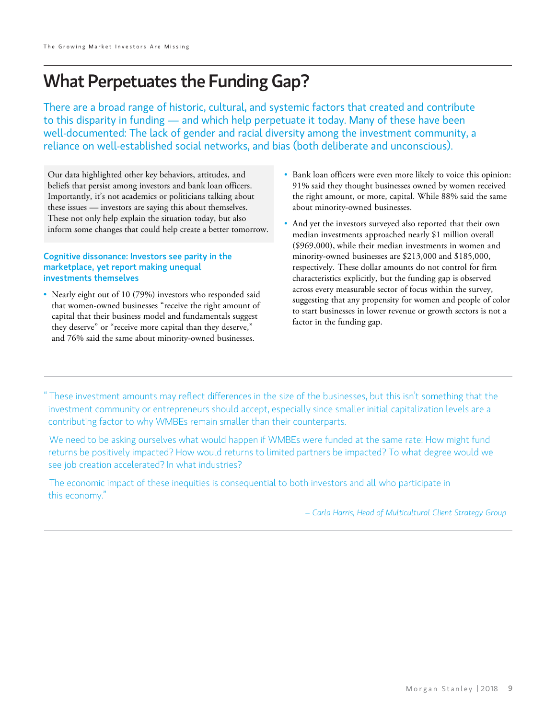## What Perpetuates the Funding Gap?

There are a broad range of historic, cultural, and systemic factors that created and contribute to this disparity in funding — and which help perpetuate it today. Many of these have been well-documented: The lack of gender and racial diversity among the investment community, a reliance on well-established social networks, and bias (both deliberate and unconscious).

Our data highlighted other key behaviors, attitudes, and beliefs that persist among investors and bank loan officers. Importantly, it's not academics or politicians talking about these issues — investors are saying this about themselves. These not only help explain the situation today, but also inform some changes that could help create a better tomorrow.

#### Cognitive dissonance: Investors see parity in the marketplace, yet report making unequal investments themselves

• Nearly eight out of 10 (79%) investors who responded said that women-owned businesses "receive the right amount of capital that their business model and fundamentals suggest they deserve" or "receive more capital than they deserve," and 76% said the same about minority-owned businesses.

- Bank loan officers were even more likely to voice this opinion: 91% said they thought businesses owned by women received the right amount, or more, capital. While 88% said the same about minority-owned businesses.
- And yet the investors surveyed also reported that their own median investments approached nearly \$1 million overall (\$969,000), while their median investments in women and minority-owned businesses are \$213,000 and \$185,000, respectively. These dollar amounts do not control for firm characteristics explicitly, but the funding gap is observed across every measurable sector of focus within the survey, suggesting that any propensity for women and people of color to start businesses in lower revenue or growth sectors is not a factor in the funding gap.

" These investment amounts may reflect differences in the size of the businesses, but this isn't something that the investment community or entrepreneurs should accept, especially since smaller initial capitalization levels are a contributing factor to why WMBEs remain smaller than their counterparts.

 We need to be asking ourselves what would happen if WMBEs were funded at the same rate: How might fund returns be positively impacted? How would returns to limited partners be impacted? To what degree would we see job creation accelerated? In what industries?

 The economic impact of these inequities is consequential to both investors and all who participate in this economy."

*– Carla Harris, Head of Multicultural Client Strategy Group*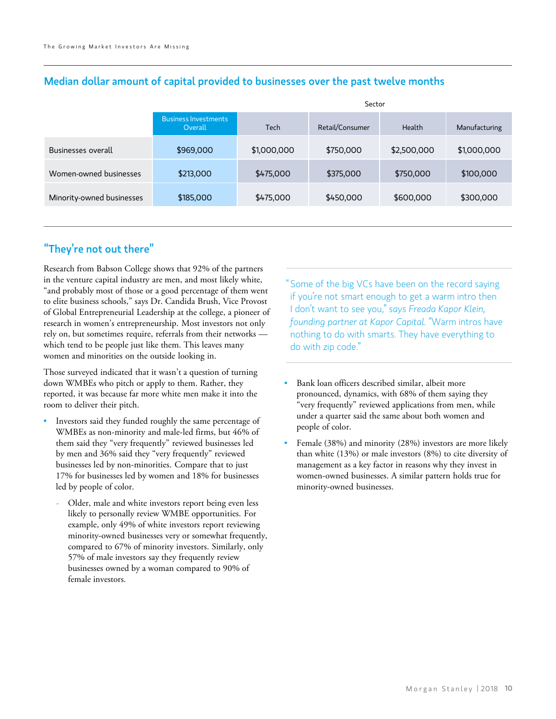|                                        | Sector      |                 |             |               |  |
|----------------------------------------|-------------|-----------------|-------------|---------------|--|
| <b>Business Investments</b><br>Overall | Tech        | Retail/Consumer | Health      | Manufacturing |  |
| \$969,000                              | \$1,000,000 | \$750,000       | \$2,500,000 | \$1,000,000   |  |
| \$213,000                              | \$475,000   | \$375,000       | \$750,000   | \$100,000     |  |
| \$185,000                              | \$475,000   | \$450,000       | \$600,000   | \$300,000     |  |
|                                        |             |                 |             |               |  |

#### Median dollar amount of capital provided to businesses over the past twelve months

### "They're not out there"

Research from Babson College shows that 92% of the partners in the venture capital industry are men, and most likely white, "and probably most of those or a good percentage of them went to elite business schools," says Dr. Candida Brush, Vice Provost of Global Entrepreneurial Leadership at the college, a pioneer of research in women's entrepreneurship. Most investors not only rely on, but sometimes require, referrals from their networks which tend to be people just like them. This leaves many women and minorities on the outside looking in.

Those surveyed indicated that it wasn't a question of turning down WMBEs who pitch or apply to them. Rather, they reported, it was because far more white men make it into the room to deliver their pitch.

- Investors said they funded roughly the same percentage of WMBEs as non-minority and male-led firms, but 46% of them said they "very frequently" reviewed businesses led by men and 36% said they "very frequently" reviewed businesses led by non-minorities. Compare that to just 17% for businesses led by women and 18% for businesses led by people of color.
	- Older, male and white investors report being even less likely to personally review WMBE opportunities. For example, only 49% of white investors report reviewing minority-owned businesses very or somewhat frequently, compared to 67% of minority investors. Similarly, only 57% of male investors say they frequently review businesses owned by a woman compared to 90% of female investors.

" Some of the big VCs have been on the record saying if you're not smart enough to get a warm intro then I don't want to see you," *says Freada Kapor Klein, founding partner at Kapor Capital.* "Warm intros have nothing to do with smarts. They have everything to do with zip code."

- Bank loan officers described similar, albeit more pronounced, dynamics, with 68% of them saying they "very frequently" reviewed applications from men, while under a quarter said the same about both women and people of color.
- Female (38%) and minority (28%) investors are more likely than white (13%) or male investors (8%) to cite diversity of management as a key factor in reasons why they invest in women-owned businesses. A similar pattern holds true for minority-owned businesses.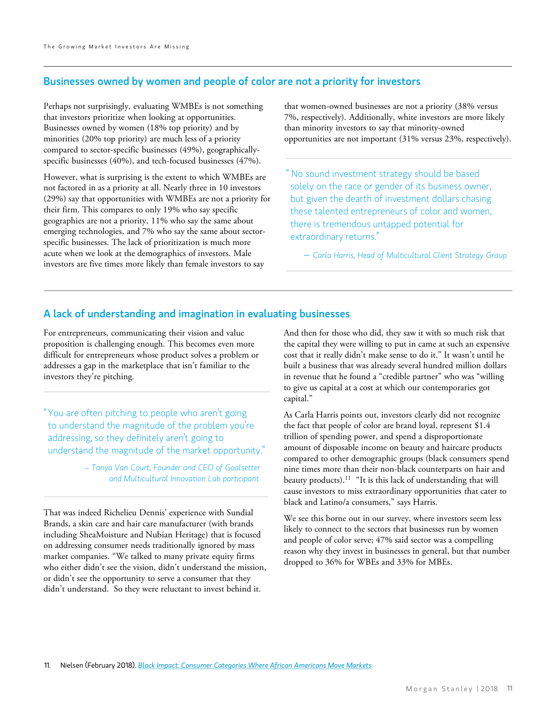#### Businesses owned by women and people of color are not a priority for investors

Perhaps not surprisingly, evaluating WMBEs is not something that investors prioritize when looking at opportunities. Businesses owned by women (18% top priority) and by minorities (20% top priority) are much less of a priority compared to sector-specific businesses (49%), geographicallyspecific businesses (40%), and tech-focused businesses (47%).

However, what is surprising is the extent to which WMBEs are not factored in as a priority at all. Nearly three in 10 investors (29%) say that opportunities with WMBEs are not a priority for their firm. This compares to only 19% who say specific geographies are not a priority, 11% who say the same about emerging technologies, and 7% who say the same about sectorspecific businesses. The lack of prioritization is much more acute when we look at the demographics of investors. Male investors are five times more likely than female investors to say

that women-owned businesses are not a priority (38% versus 7%, respectively). Additionally, white investors are more likely than minority investors to say that minority-owned opportunities are not important (31% versus 23%, respectively).

" No sound investment strategy should be based solely on the race or gender of its business owner, but given the dearth of investment dollars chasing these talented entrepreneurs of color and women, there is tremendous untapped potential for extraordinary returns."

 *– Carla Harris, Head of Multicultural Client Strategy Group*

#### A lack of understanding and imagination in evaluating businesses

For entrepreneurs, communicating their vision and value proposition is challenging enough. This becomes even more difficult for entrepreneurs whose product solves a problem or addresses a gap in the marketplace that isn't familiar to the investors they're pitching.

"You are often pitching to people who aren't going to understand the magnitude of the problem you're addressing, so they definitely aren't going to understand the magnitude of the market opportunity."

> *– Tanya Van Court, Founder and CEO of Goalsetter and Multicultural Innovation Lab participant*

That was indeed Richelieu Dennis' experience with Sundial Brands, a skin care and hair care manufacturer (with brands including SheaMoisture and Nubian Heritage) that is focused on addressing consumer needs traditionally ignored by mass market companies. "We talked to many private equity firms who either didn't see the vision, didn't understand the mission, or didn't see the opportunity to serve a consumer that they didn't understand. So they were reluctant to invest behind it.

And then for those who did, they saw it with so much risk that the capital they were willing to put in came at such an expensive cost that it really didn't make sense to do it." It wasn't until he built a business that was already several hundred million dollars in revenue that he found a "credible partner" who was "willing to give us capital at a cost at which our contemporaries got capital."

As Carla Harris points out, investors clearly did not recognize the fact that people of color are brand loyal, represent \$1.4 trillion of spending power, and spend a disproportionate amount of disposable income on beauty and haircare products compared to other demographic groups (black consumers spend nine times more than their non-black counterparts on hair and beauty products).11 "It is this lack of understanding that will cause investors to miss extraordinary opportunities that cater to black and Latino/a consumers," says Harris.

We see this borne out in our survey, where investors seem less likely to connect to the sectors that businesses run by women and people of color serve; 47% said sector was a compelling reason why they invest in businesses in general, but that number dropped to 36% for WBEs and 33% for MBEs.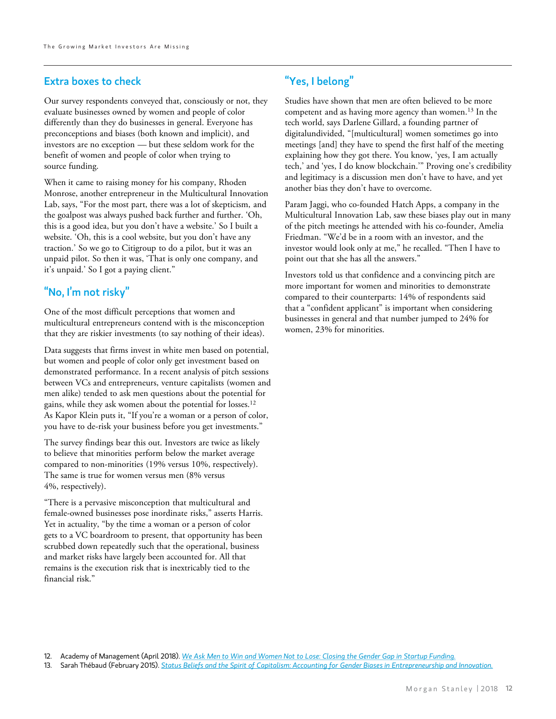#### Extra boxes to check

Our survey respondents conveyed that, consciously or not, they evaluate businesses owned by women and people of color differently than they do businesses in general. Everyone has preconceptions and biases (both known and implicit), and investors are no exception — but these seldom work for the benefit of women and people of color when trying to source funding.

When it came to raising money for his company, Rhoden Monrose, another entrepreneur in the Multicultural Innovation Lab, says, "For the most part, there was a lot of skepticism, and the goalpost was always pushed back further and further. 'Oh, this is a good idea, but you don't have a website.' So I built a website. 'Oh, this is a cool website, but you don't have any traction.' So we go to Citigroup to do a pilot, but it was an unpaid pilot. So then it was, 'That is only one company, and it's unpaid.' So I got a paying client."

#### "No, I'm not risky"

One of the most difficult perceptions that women and multicultural entrepreneurs contend with is the misconception that they are riskier investments (to say nothing of their ideas).

Data suggests that firms invest in white men based on potential, but women and people of color only get investment based on demonstrated performance. In a recent analysis of pitch sessions between VCs and entrepreneurs, venture capitalists (women and men alike) tended to ask men questions about the potential for gains, while they ask women about the potential for losses.12 As Kapor Klein puts it, "If you're a woman or a person of color, you have to de-risk your business before you get investments."

The survey findings bear this out. Investors are twice as likely to believe that minorities perform below the market average compared to non-minorities (19% versus 10%, respectively). The same is true for women versus men (8% versus 4%, respectively).

"There is a pervasive misconception that multicultural and female-owned businesses pose inordinate risks," asserts Harris. Yet in actuality, "by the time a woman or a person of color gets to a VC boardroom to present, that opportunity has been scrubbed down repeatedly such that the operational, business and market risks have largely been accounted for. All that remains is the execution risk that is inextricably tied to the financial risk."

#### "Yes, I belong"

Studies have shown that men are often believed to be more competent and as having more agency than women.<sup>13</sup> In the tech world, says Darlene Gillard, a founding partner of digitalundivided, "[multicultural] women sometimes go into meetings [and] they have to spend the first half of the meeting explaining how they got there. You know, 'yes, I am actually tech,' and 'yes, I do know blockchain.'" Proving one's credibility and legitimacy is a discussion men don't have to have, and yet another bias they don't have to overcome.

Param Jaggi, who co-founded Hatch Apps, a company in the Multicultural Innovation Lab, saw these biases play out in many of the pitch meetings he attended with his co-founder, Amelia Friedman. "We'd be in a room with an investor, and the investor would look only at me," he recalled. "Then I have to point out that she has all the answers."

Investors told us that confidence and a convincing pitch are more important for women and minorities to demonstrate compared to their counterparts: 14% of respondents said that a "confident applicant" is important when considering businesses in general and that number jumped to 24% for women, 23% for minorities.

13. Sarah Thébaud (February 2015). *[Status Beliefs and the Spirit of Capitalism: Accounting for Gender Biases in Entrepreneurship and Innovation.](https://academic.oup.com/sf/article-abstract/94/1/61/1753699?redirectedFrom=fulltext)*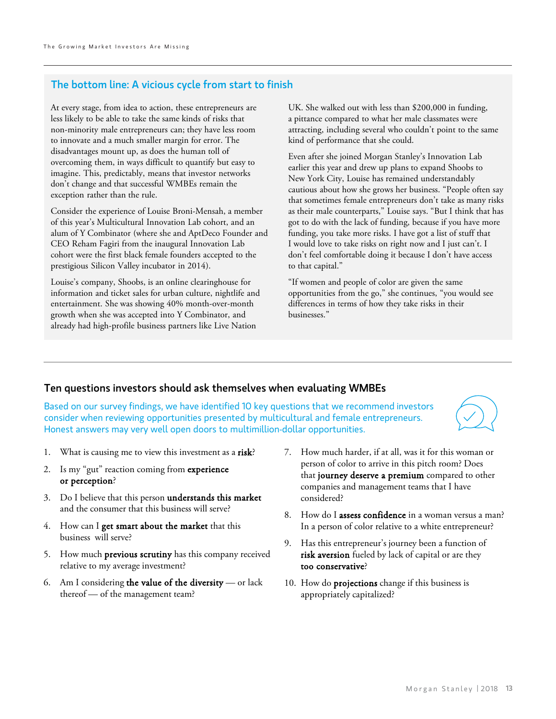#### The bottom line: A vicious cycle from start to finish

At every stage, from idea to action, these entrepreneurs are less likely to be able to take the same kinds of risks that non-minority male entrepreneurs can; they have less room to innovate and a much smaller margin for error. The disadvantages mount up, as does the human toll of overcoming them, in ways difficult to quantify but easy to imagine. This, predictably, means that investor networks don't change and that successful WMBEs remain the exception rather than the rule.

Consider the experience of Louise Broni-Mensah, a member of this year's Multicultural Innovation Lab cohort, and an alum of Y Combinator (where she and AptDeco Founder and CEO Reham Fagiri from the inaugural Innovation Lab cohort were the first black female founders accepted to the prestigious Silicon Valley incubator in 2014).

Louise's company, Shoobs, is an online clearinghouse for information and ticket sales for urban culture, nightlife and entertainment. She was showing 40% month-over-month growth when she was accepted into Y Combinator, and already had high-profile business partners like Live Nation

UK. She walked out with less than \$200,000 in funding, a pittance compared to what her male classmates were attracting, including several who couldn't point to the same kind of performance that she could.

Even after she joined Morgan Stanley's Innovation Lab earlier this year and drew up plans to expand Shoobs to New York City, Louise has remained understandably cautious about how she grows her business. "People often say that sometimes female entrepreneurs don't take as many risks as their male counterparts," Louise says. "But I think that has got to do with the lack of funding, because if you have more funding, you take more risks. I have got a list of stuff that I would love to take risks on right now and I just can't. I don't feel comfortable doing it because I don't have access to that capital."

"If women and people of color are given the same opportunities from the go," she continues, "you would see differences in terms of how they take risks in their businesses."

#### Ten questions investors should ask themselves when evaluating WMBEs

Based on our survey findings, we have identified 10 key questions that we recommend investors consider when reviewing opportunities presented by multicultural and female entrepreneurs. Honest answers may very well open doors to multimillion-dollar opportunities.



- 1. What is causing me to view this investment as a risk?
- 2. Is my "gut" reaction coming from experience or perception?
- 3. Do I believe that this person understands this market and the consumer that this business will serve?
- 4. How can I get smart about the market that this business will serve?
- 5. How much previous scrutiny has this company received relative to my average investment?
- 6. Am I considering the value of the diversity  $-$  or lack thereof — of the management team?
- 7. How much harder, if at all, was it for this woman or person of color to arrive in this pitch room? Does that journey deserve a premium compared to other companies and management teams that I have considered?
- 8. How do I assess confidence in a woman versus a man? In a person of color relative to a white entrepreneur?
- 9. Has this entrepreneur's journey been a function of risk aversion fueled by lack of capital or are they too conservative?
- 10. How do projections change if this business is appropriately capitalized?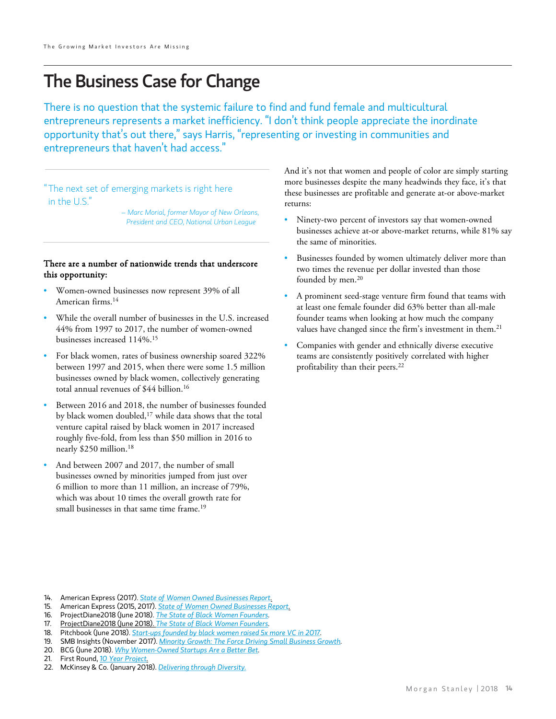$\overline{a}$ 

## The Business Case for Change

There is no question that the systemic failure to find and fund female and multicultural entrepreneurs represents a market inefficiency. "I don't think people appreciate the inordinate opportunity that's out there," says Harris, "representing or investing in communities and entrepreneurs that haven't had access."

 " The next set of emerging markets is right here in the U.S."

> *– Marc Morial, former Mayor of New Orleans, President and CEO, National Urban League*

#### There are a number of nationwide trends that underscore this opportunity:

- Women-owned businesses now represent 39% of all American firms.14
- While the overall number of businesses in the U.S. increased 44% from 1997 to 2017, the number of women-owned businesses increased 114%.15
- For black women, rates of business ownership soared 322% between 1997 and 2015, when there were some 1.5 million businesses owned by black women, collectively generating total annual revenues of \$44 billion.16
- Between 2016 and 2018, the number of businesses founded by black women doubled,17 while data shows that the total venture capital raised by black women in 2017 increased roughly five-fold, from less than \$50 million in 2016 to nearly \$250 million.18
- And between 2007 and 2017, the number of small businesses owned by minorities jumped from just over 6 million to more than 11 million, an increase of 79%, which was about 10 times the overall growth rate for small businesses in that same time frame.19

And it's not that women and people of color are simply starting more businesses despite the many headwinds they face, it's that these businesses are profitable and generate at-or above-market returns:

- Ninety-two percent of investors say that women-owned businesses achieve at-or above-market returns, while 81% say the same of minorities.
- Businesses founded by women ultimately deliver more than two times the revenue per dollar invested than those founded by men.<sup>20</sup>
- A prominent seed-stage venture firm found that teams with at least one female founder did 63% better than all-male founder teams when looking at how much the company values have changed since the firm's investment in them.<sup>21</sup>
- Companies with gender and ethnically diverse executive teams are consistently positively correlated with higher profitability than their peers.<sup>22</sup>

- 14. American Express (2017). *[State of Women Owned Businesses Report](https://about.americanexpress.com/files/doc_library/file/2018-state-of-women-owned-businesses-report_0.pdf).*
- 15. American Express (2015, 2017). *[State of Women Owned Businesses Report](https://about.americanexpress.com/files/doc_library/file/2018-state-of-women-owned-businesses-report_0.pdf).*
- 16. ProjectDiane2018 (June 2018). *[The State of Black Women Founders](http://projectdiane.digitalundivided.com/).*
- 17. ProjectDiane2018 (June 2018). *[The State of Black Women Founders](http://projectdiane.digitalundivided.com/).*
- 18. Pitchbook (June 2018). *[Start-ups founded by black women raised 5x more VC in 2017.](https://pitchbook.com/news/articles/startups-founded-by-black-women-raised-5x-more-vc-in-2017)*
- 19. SMB Insights (November 2017). *[Minority Growth: The Force Driving Small Business Growth](http://mbnusa.biz/smb-insights-report-full-steam-ahead-p2978-164.htm).*
- 20. BCG (June 2018). *[Why Women-Owned Startups Are a Better Bet](https://www.bcg.com/en-us/publications/2018/why-women-owned-startups-are-better-bet.aspx).*
- 21. First Round, *[10 Year Project.](http://10years.firstround.com/)*

<sup>22.</sup> McKinsey & Co. (January 2018). *[Delivering through Diversity.](https://www.mckinsey.com/%7E/media/mckinsey/business%20functions/organization/our%20insights/delivering%20through%20diversity/delivering-through-diversity_full-report.ashx)*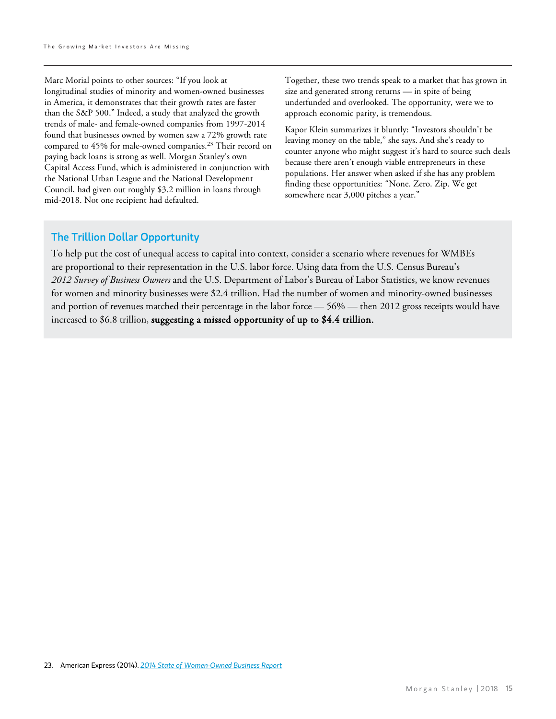Marc Morial points to other sources: "If you look at longitudinal studies of minority and women-owned businesses in America, it demonstrates that their growth rates are faster than the S&P 500." Indeed, a study that analyzed the growth trends of male- and female-owned companies from 1997-2014 found that businesses owned by women saw a 72% growth rate compared to 45% for male-owned companies.<sup>23</sup> Their record on paying back loans is strong as well. Morgan Stanley's own Capital Access Fund, which is administered in conjunction with the National Urban League and the National Development Council, had given out roughly \$3.2 million in loans through mid-2018. Not one recipient had defaulted.

Together, these two trends speak to a market that has grown in size and generated strong returns — in spite of being underfunded and overlooked. The opportunity, were we to approach economic parity, is tremendous.

Kapor Klein summarizes it bluntly: "Investors shouldn't be leaving money on the table," she says. And she's ready to counter anyone who might suggest it's hard to source such deals because there aren't enough viable entrepreneurs in these populations. Her answer when asked if she has any problem finding these opportunities: "None. Zero. Zip. We get somewhere near 3,000 pitches a year."

#### The Trillion Dollar Opportunity

To help put the cost of unequal access to capital into context, consider a scenario where revenues for WMBEs are proportional to their representation in the U.S. labor force. Using data from the U.S. Census Bureau's *2012 Survey of Business Owners* and the U.S. Department of Labor's Bureau of Labor Statistics, we know revenues for women and minority businesses were \$2.4 trillion. Had the number of women and minority-owned businesses and portion of revenues matched their percentage in the labor force — 56% — then 2012 gross receipts would have increased to \$6.8 trillion, suggesting a missed opportunity of up to \$4.4 trillion.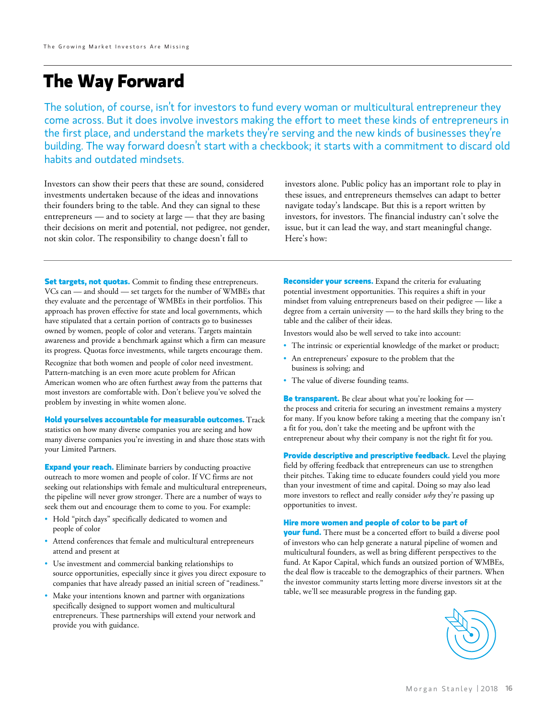## **The Way Forward**

The solution, of course, isn't for investors to fund every woman or multicultural entrepreneur they come across. But it does involve investors making the effort to meet these kinds of entrepreneurs in the first place, and understand the markets they're serving and the new kinds of businesses they're building. The way forward doesn't start with a checkbook; it starts with a commitment to discard old habits and outdated mindsets.

Investors can show their peers that these are sound, considered investments undertaken because of the ideas and innovations their founders bring to the table. And they can signal to these entrepreneurs — and to society at large — that they are basing their decisions on merit and potential, not pedigree, not gender, not skin color. The responsibility to change doesn't fall to

investors alone. Public policy has an important role to play in these issues, and entrepreneurs themselves can adapt to better navigate today's landscape. But this is a report written by investors, for investors. The financial industry can't solve the issue, but it can lead the way, and start meaningful change. Here's how:

**Set targets, not quotas.** Commit to finding these entrepreneurs. VCs can — and should — set targets for the number of WMBEs that they evaluate and the percentage of WMBEs in their portfolios. This approach has proven effective for state and local governments, which have stipulated that a certain portion of contracts go to businesses owned by women, people of color and veterans. Targets maintain awareness and provide a benchmark against which a firm can measure its progress. Quotas force investments, while targets encourage them.

Recognize that both women and people of color need investment. Pattern-matching is an even more acute problem for African American women who are often furthest away from the patterns that most investors are comfortable with. Don't believe you've solved the problem by investing in white women alone.

**Hold yourselves accountable for measurable outcomes.** Track statistics on how many diverse companies you are seeing and how many diverse companies you're investing in and share those stats with your Limited Partners.

**Expand your reach.** Eliminate barriers by conducting proactive outreach to more women and people of color. If VC firms are not seeking out relationships with female and multicultural entrepreneurs, the pipeline will never grow stronger. There are a number of ways to seek them out and encourage them to come to you. For example:

- Hold "pitch days" specifically dedicated to women and people of color
- Attend conferences that female and multicultural entrepreneurs attend and present at
- Use investment and commercial banking relationships to source opportunities, especially since it gives you direct exposure to companies that have already passed an initial screen of "readiness."
- Make your intentions known and partner with organizations specifically designed to support women and multicultural entrepreneurs. These partnerships will extend your network and provide you with guidance.

**Reconsider your screens.** Expand the criteria for evaluating potential investment opportunities. This requires a shift in your mindset from valuing entrepreneurs based on their pedigree — like a degree from a certain university — to the hard skills they bring to the table and the caliber of their ideas.

Investors would also be well served to take into account:

- The intrinsic or experiential knowledge of the market or product;
- An entrepreneurs' exposure to the problem that the business is solving; and
- The value of diverse founding teams.

**Be transparent.** Be clear about what you're looking for the process and criteria for securing an investment remains a mystery for many. If you know before taking a meeting that the company isn't a fit for you, don't take the meeting and be upfront with the entrepreneur about why their company is not the right fit for you.

**Provide descriptive and prescriptive feedback.** Level the playing field by offering feedback that entrepreneurs can use to strengthen their pitches. Taking time to educate founders could yield you more than your investment of time and capital. Doing so may also lead more investors to reflect and really consider *why* they're passing up opportunities to invest.

#### **Hire more women and people of color to be part of**

**your fund.** There must be a concerted effort to build a diverse pool of investors who can help generate a natural pipeline of women and multicultural founders, as well as bring different perspectives to the fund. At Kapor Capital, which funds an outsized portion of WMBEs, the deal flow is traceable to the demographics of their partners. When the investor community starts letting more diverse investors sit at the table, we'll see measurable progress in the funding gap.

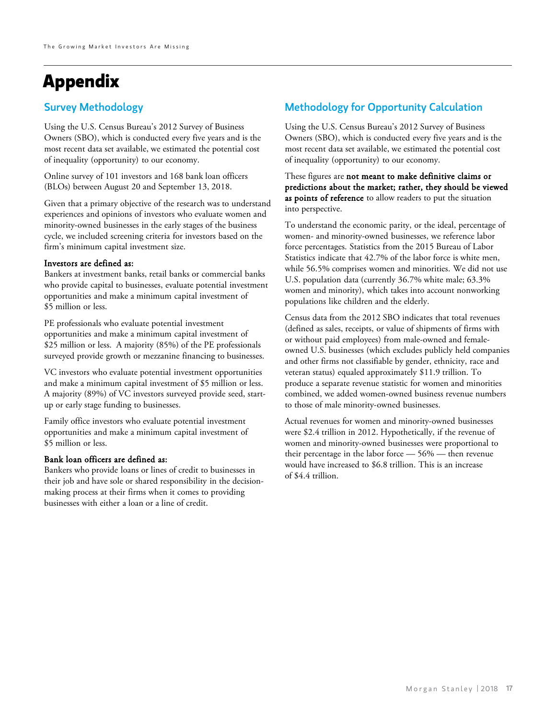#### Survey Methodology

Using the U.S. Census Bureau's 2012 Survey of Business Owners (SBO), which is conducted every five years and is the most recent data set available, we estimated the potential cost of inequality (opportunity) to our economy.

Online survey of 101 investors and 168 bank loan officers (BLOs) between August 20 and September 13, 2018.

Given that a primary objective of the research was to understand experiences and opinions of investors who evaluate women and minority-owned businesses in the early stages of the business cycle, we included screening criteria for investors based on the firm's minimum capital investment size.

#### Investors are defined as:

Bankers at investment banks, retail banks or commercial banks who provide capital to businesses, evaluate potential investment opportunities and make a minimum capital investment of \$5 million or less.

PE professionals who evaluate potential investment opportunities and make a minimum capital investment of \$25 million or less. A majority (85%) of the PE professionals surveyed provide growth or mezzanine financing to businesses.

VC investors who evaluate potential investment opportunities and make a minimum capital investment of \$5 million or less. A majority (89%) of VC investors surveyed provide seed, startup or early stage funding to businesses.

Family office investors who evaluate potential investment opportunities and make a minimum capital investment of \$5 million or less.

#### Bank loan officers are defined as:

Bankers who provide loans or lines of credit to businesses in their job and have sole or shared responsibility in the decisionmaking process at their firms when it comes to providing businesses with either a loan or a line of credit.

#### Methodology for Opportunity Calculation

Using the U.S. Census Bureau's 2012 Survey of Business Owners (SBO), which is conducted every five years and is the most recent data set available, we estimated the potential cost of inequality (opportunity) to our economy.

These figures are not meant to make definitive claims or predictions about the market; rather, they should be viewed as points of reference to allow readers to put the situation into perspective.

To understand the economic parity, or the ideal, percentage of women- and minority-owned businesses, we reference labor force percentages. Statistics from the 2015 Bureau of Labor Statistics indicate that 42.7% of the labor force is white men, while 56.5% comprises women and minorities. We did not use U.S. population data (currently 36.7% white male; 63.3% women and minority), which takes into account nonworking populations like children and the elderly.

Census data from the 2012 SBO indicates that total revenues (defined as sales, receipts, or value of shipments of firms with or without paid employees) from male-owned and femaleowned U.S. businesses (which excludes publicly held companies and other firms not classifiable by gender, ethnicity, race and veteran status) equaled approximately \$11.9 trillion. To produce a separate revenue statistic for women and minorities combined, we added women-owned business revenue numbers to those of male minority-owned businesses.

Actual revenues for women and minority-owned businesses were \$2.4 trillion in 2012. Hypothetically, if the revenue of women and minority-owned businesses were proportional to their percentage in the labor force — 56% — then revenue would have increased to \$6.8 trillion. This is an increase of \$4.4 trillion.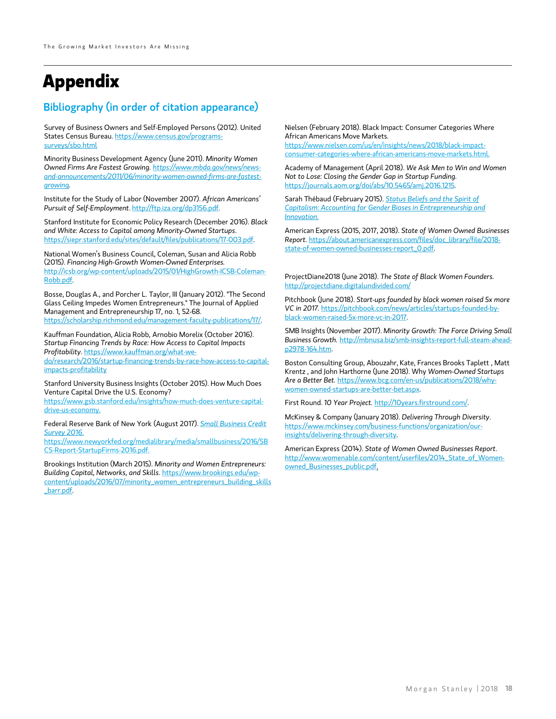#### Bibliography (in order of citation appearance)

Survey of Business Owners and Self-Employed Persons (2012). United States Census Bureau. [https://www.census.gov/programs](https://www.census.gov/programs-surveys/sbo.html)[surveys/sbo.html](https://www.census.gov/programs-surveys/sbo.html)

Minority Business Development Agency (June 2011). *Minority Women Owned Firms Are Fastest Growing. [https://www.mbda.gov/news/news](https://www.mbda.gov/news/news-and-announcements/2011/06/minority-women-owned-firms-are-fastest-growing)[and-announcements/2011/06/minority-women-owned-firms-are-fastest](https://www.mbda.gov/news/news-and-announcements/2011/06/minority-women-owned-firms-are-fastest-growing)[growing](https://www.mbda.gov/news/news-and-announcements/2011/06/minority-women-owned-firms-are-fastest-growing).*

Institute for the Study of Labor (November 2007). *African Americans' Pursuit of Self-Employment*. [http://ftp.iza.org/dp3156.pdf.](http://ftp.iza.org/dp3156.pdf)

Stanford Institute for Economic Policy Research (December 2016). *Black and White: Access to Capital among Minority-Owned Startups*. <https://siepr.stanford.edu/sites/default/files/publications/17-003.pdf>.

National Women's Business Council, Coleman, Susan and Alicia Robb (2015). *Financing High-Growth Women-Owned Enterprises.*  [http://icsb.org/wp-content/uploads/2015/01/HighGrowth-ICSB-Coleman-](http://icsb.org/wp-content/uploads/2015/01/HighGrowth-ICSB-Coleman-Robb.pdf)[Robb.pdf.](http://icsb.org/wp-content/uploads/2015/01/HighGrowth-ICSB-Coleman-Robb.pdf)

Bosse, Douglas A., and Porcher L. Taylor, III (January 2012). "The Second Glass Ceiling Impedes Women Entrepreneurs." The Journal of Applied Management and Entrepreneurship 17, no. 1, 52-68. <https://scholarship.richmond.edu/management-faculty-publications/17/>.

Kauffman Foundation, Alicia Robb, Arnobio Morelix (October 2016). *Startup Financing Trends by Race: How Access to Capital Impacts Profitability*. [https://www.kauffman.org/what-we-](https://www.kauffman.org/what-we-do/research/2016/startup-financing-trends-by-race-how-access-to-capital-impacts-profitability)

[do/research/2016/startup-financing-trends-by-race-how-access-to-capital](https://www.kauffman.org/what-we-do/research/2016/startup-financing-trends-by-race-how-access-to-capital-impacts-profitability)[impacts-profitability](https://www.kauffman.org/what-we-do/research/2016/startup-financing-trends-by-race-how-access-to-capital-impacts-profitability)

Stanford University Business Insights (October 2015). How Much Does Venture Capital Drive the U.S. Economy?

https://www.gsb.stanford.edu/insights/how-much-does-venture-capitaldrive-us-economy.

Federal Reserve Bank of New York (August 2017). *[Small Business Credit](https://www.newyorkfed.org/medialibrary/media/smallbusiness/2016/SBCS-Report-StartupFirms-2016.pdf)  [Survey 2016](https://www.newyorkfed.org/medialibrary/media/smallbusiness/2016/SBCS-Report-StartupFirms-2016.pdf)*[.](https://www.newyorkfed.org/medialibrary/media/smallbusiness/2016/SBCS-Report-StartupFirms-2016.pdf)

https://www.newyorkfed.org/medialibrary/media/smallbusiness/2016/SB CS-Report-StartupFirms-2016.pdf.

Brookings Institution (March 2015). *Minority and Women Entrepreneurs: Building Capital, Networks, and Skills*. [https://www.brookings.edu/wp](https://www.brookings.edu/wp-content/uploads/2016/07/minority_women_entrepreneurs_building_skills_barr.pdf)[content/uploads/2016/07/minority\\_women\\_entrepreneurs\\_building\\_skills](https://www.brookings.edu/wp-content/uploads/2016/07/minority_women_entrepreneurs_building_skills_barr.pdf) [\\_barr.pdf.](https://www.brookings.edu/wp-content/uploads/2016/07/minority_women_entrepreneurs_building_skills_barr.pdf)

Nielsen (February 2018). Black Impact: Consumer Categories Where African Americans Move Markets*.* 

https://www.nielsen.com/us/en/insights/news/2018/black-impactconsumer-categories-where-african-americans-move-markets.html.

Academy of Management (April 2018). *We Ask Men to Win and Women Not to Lose: Closing the Gender Gap in Startup Funding.*  [https://journals.aom.org/doi/abs/10.5465/amj.2016.1215.](https://journals.aom.org/doi/abs/10.5465/amj.2016.1215)

Sarah Thébaud (February 2015). *[Status Beliefs and the Spirit of](https://academic.oup.com/sf/article-abstract/94/1/61/1753699?redirectedFrom=fulltext)  [Capitalism: Accounting for Gender Biases in Entrepreneurship and](https://academic.oup.com/sf/article-abstract/94/1/61/1753699?redirectedFrom=fulltext)  [Innovation.](https://academic.oup.com/sf/article-abstract/94/1/61/1753699?redirectedFrom=fulltext)*

American Express (2015, 2017, 2018). *State of Women Owned Businesses Report*. [https://about.americanexpress.com/files/doc\\_library/file/2018](https://about.americanexpress.com/files/doc_library/file/2018-state-of-women-owned-businesses-report_0.pdf) [state-of-women-owned-businesses-report\\_0.pdf.](https://about.americanexpress.com/files/doc_library/file/2018-state-of-women-owned-businesses-report_0.pdf)

ProjectDiane2018 (June 2018). *The State of Black Women Founders.*  <http://projectdiane.digitalundivided.com/>

Pitchbook (June 2018). *Start-ups founded by black women raised 5x more VC in 2017.* [https://pitchbook.com/news/articles/startups-founded-by](https://pitchbook.com/news/articles/startups-founded-by-black-women-raised-5x-more-vc-in-2017)[black-women-raised-5x-more-vc-in-2017.](https://pitchbook.com/news/articles/startups-founded-by-black-women-raised-5x-more-vc-in-2017)

SMB Insights (November 2017). *Minority Growth: The Force Driving Small Business Growth.* [http://mbnusa.biz/smb-insights-report-full-steam-ahead](http://mbnusa.biz/smb-insights-report-full-steam-ahead-p2978-164.htm)[p2978-164.htm](http://mbnusa.biz/smb-insights-report-full-steam-ahead-p2978-164.htm).

Boston Consulting Group, Abouzahr, Kate, Frances Brooks Taplett , Matt Krentz , and John Harthorne (June 2018). Why *Women-Owned Startups Are a Better Bet.* [https://www.bcg.com/en-us/publications/2018/why](https://www.bcg.com/en-us/publications/2018/why-women-owned-startups-are-better-bet.aspx)[women-owned-startups-are-better-bet.aspx](https://www.bcg.com/en-us/publications/2018/why-women-owned-startups-are-better-bet.aspx).

First Round. *10 Year Project.* [http://10years.firstround.com/.](http://10years.firstround.com/)

McKinsey & Company (January 2018). *Delivering Through Diversity*. [https://www.mckinsey.com/business-functions/organization/our](https://www.mckinsey.com/business-functions/organization/our-insights/delivering-through-diversity)[insights/delivering-through-diversity.](https://www.mckinsey.com/business-functions/organization/our-insights/delivering-through-diversity)

American Express (2014). *State of Women Owned Businesses Report*. [http://www.womenable.com/content/userfiles/2014\\_State\\_of\\_Women](http://www.womenable.com/content/userfiles/2014_State_of_Women-owned_Businesses_public.pdf)[owned\\_Businesses\\_public.pdf.](http://www.womenable.com/content/userfiles/2014_State_of_Women-owned_Businesses_public.pdf)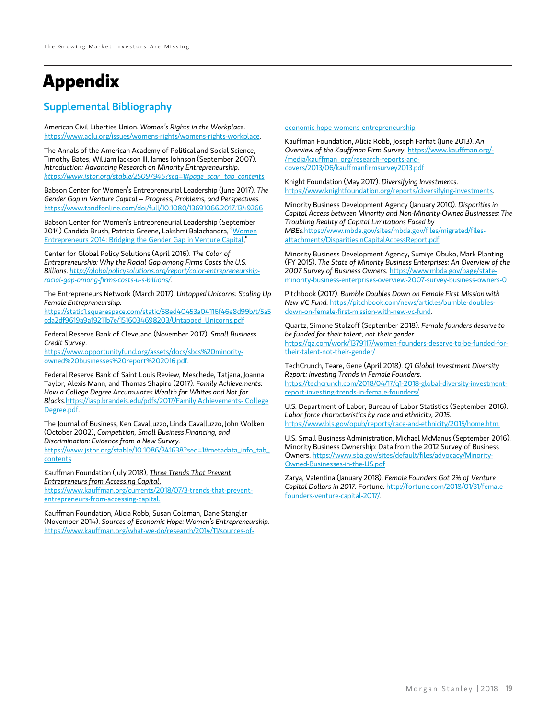#### Supplemental Bibliography

American Civil Liberties Union. *Women's Rights in the Workplace*. [https://www.aclu.org/issues/womens-rights/womens-rights-workplace.](https://www.aclu.org/issues/womens-rights/womens-rights-workplace)

The Annals of the American Academy of Political and Social Science, Timothy Bates, William Jackson III, James Johnson (September 2007). *Introduction: Advancing Research on Minority Entrepreneurship. [https://www.jstor.org/stable/25097945?seq=1#page\\_scan\\_tab\\_contents](https://www.jstor.org/stable/25097945?seq=1#page_scan_tab_contents)*

Babson Center for Women's Entrepreneurial Leadership (June 2017). *The Gender Gap in Venture Capital – Progress, Problems, and Perspectives.* <https://www.tandfonline.com/doi/full/10.1080/13691066.2017.1349266>

Babson Center for Women's Entrepreneurial Leadership (September 2014) Candida Brush, Patricia Greene, Lakshmi Balachandra, ["Women](https://www.babson.edu/Academics/centers/blank-center/global-research/diana/Documents/diana-project-executive-summary-2014.pdf)  [Entrepreneurs 2014: Bridging the Gender Gap in Venture Capital](https://www.babson.edu/Academics/centers/blank-center/global-research/diana/Documents/diana-project-executive-summary-2014.pdf),"

Center for Global Policy Solutions (April 2016). *The Color of Entrepreneurship: Why the Racial Gap among Firms Costs the U.S. Billions. [http://globalpolicysolutions.org/report/color-entrepreneurship](http://globalpolicysolutions.org/report/color-entrepreneurship-racial-gap-among-firms-costs-u-s-billions/)[racial-gap-among-firms-costs-u-s-billions/.](http://globalpolicysolutions.org/report/color-entrepreneurship-racial-gap-among-firms-costs-u-s-billions/)* 

The Entrepreneurs Network (March 2017). *Untapped Unicorns: Scaling Up Female Entrepreneurship.* 

[https://static1.squarespace.com/static/58ed40453a04116f46e8d99b/t/5a5](https://static1.squarespace.com/static/58ed40453a04116f46e8d99b/t/5a5cda2df9619a9a19211b7e/1516034698203/Untapped_Unicorns.pdf) [cda2df9619a9a19211b7e/1516034698203/Untapped\\_Unicorns.pdf](https://static1.squarespace.com/static/58ed40453a04116f46e8d99b/t/5a5cda2df9619a9a19211b7e/1516034698203/Untapped_Unicorns.pdf)

Federal Reserve Bank of Cleveland (November 2017). *Small Business Credit Survey*.

[https://www.opportunityfund.org/assets/docs/sbcs%20minority](https://www.opportunityfund.org/assets/docs/sbcs%20minority-owned%20businesses%20report%202016.pdf)[owned%20businesses%20report%202016.pdf](https://www.opportunityfund.org/assets/docs/sbcs%20minority-owned%20businesses%20report%202016.pdf).

Federal Reserve Bank of Saint Louis Review, Meschede, Tatjana, Joanna Taylor, Alexis Mann, and Thomas Shapiro (2017). *Family Achievements: How a College Degree Accumulates Wealth for Whites and Not for Blacks.*[https://iasp.brandeis.edu/pdfs/2017/Family Achievements-](https://iasp.brandeis.edu/pdfs/2017/Family%20Achievements-%20College%20Degree.pdf) [College](https://iasp.brandeis.edu/pdfs/2017/Family%20Achievements-%20College%20Degree.pdf)  [Degree.pdf](https://iasp.brandeis.edu/pdfs/2017/Family%20Achievements-%20College%20Degree.pdf).

The Journal of Business, Ken Cavalluzzo, Linda Cavalluzzo, John Wolken (October 2002), *Competition, Small Business Financing, and Discrimination: Evidence from a New Survey.*

[https://www.jstor.org/stable/10.1086/341638?seq=1#metadata\\_info\\_tab\\_](https://www.jstor.org/stable/10.1086/341638?seq=1#metadata_info_tab_contents) [contents](https://www.jstor.org/stable/10.1086/341638?seq=1#metadata_info_tab_contents)

Kauffman Foundation (July 2018), *Three Trends That Prevent Entrepreneurs from Accessing Capital*. https://www.kauffman.org/currents/2018/07/3-trends-that-prevent-

entrepreneurs-from-accessing-capital.

Kauffman Foundation, Alicia Robb, Susan Coleman, Dane Stangler (November 2014). *Sources of Economic Hope: Women's Entrepreneurship.*  [https://www.kauffman.org/what-we-do/research/2014/11/sources-of-](https://www.kauffman.org/what-we-do/research/2014/11/sources-of-economic-hope-womens-entrepreneurship) [economic-hope-womens-entrepreneurship](https://www.kauffman.org/what-we-do/research/2014/11/sources-of-economic-hope-womens-entrepreneurship)

Kauffman Foundation, Alicia Robb, Joseph Farhat (June 2013). *An Overview of the Kauffman Firm Survey.* [https://www.kauffman.org/-](https://www.kauffman.org/-/media/kauffman_org/research-reports-and-covers/2013/06/kauffmanfirmsurvey2013.pdf) [/media/kauffman\\_org/research-reports-and](https://www.kauffman.org/-/media/kauffman_org/research-reports-and-covers/2013/06/kauffmanfirmsurvey2013.pdf)[covers/2013/06/kauffmanfirmsurvey2013.pdf](https://www.kauffman.org/-/media/kauffman_org/research-reports-and-covers/2013/06/kauffmanfirmsurvey2013.pdf)

Knight Foundation (May 2017). *Diversifying Investments*. [https://www.knightfoundation.org/reports/diversifying-investments.](https://www.knightfoundation.org/reports/diversifying-investments)

Minority Business Development Agency (January 2010). *Disparities in Capital Access between Minority and Non-Minority-Owned Businesses: The Troubling Reality of Capital Limitations Faced by MBEs.*[https://www.mbda.gov/sites/mbda.gov/files/migrated/files](https://www.mbda.gov/sites/mbda.gov/files/migrated/files-attachments/DisparitiesinCapitalAccessReport.pdf)[attachments/DisparitiesinCapitalAccessReport.pdf.](https://www.mbda.gov/sites/mbda.gov/files/migrated/files-attachments/DisparitiesinCapitalAccessReport.pdf)

Minority Business Development Agency, Sumiye Obuko, Mark Planting (FY 2015). *The State of Minority Business Enterprises: An Overview of the 2007 Survey of Business Owners.* [https://www.mbda.gov/page/state](https://www.mbda.gov/page/state-minority-business-enterprises-overview-2007-survey-business-owners-0)[minority-business-enterprises-overview-2007-survey-business-owners-0](https://www.mbda.gov/page/state-minority-business-enterprises-overview-2007-survey-business-owners-0)

Pitchbook (2017). *Bumble Doubles Down on Female First Mission with New VC Fund.* [https://pitchbook.com/news/articles/bumble-doubles](https://pitchbook.com/news/articles/bumble-doubles-down-on-female-first-mission-with-new-vc-fund)[down-on-female-first-mission-with-new-vc-fund.](https://pitchbook.com/news/articles/bumble-doubles-down-on-female-first-mission-with-new-vc-fund)

Quartz, Simone Stolzoff (September 2018). *Female founders deserve to be funded for their talent, not their gender.*  [https://qz.com/work/1379117/women-founders-deserve-to-be-funded-for](https://qz.com/work/1379117/women-founders-deserve-to-be-funded-for-their-talent-not-their-gender/)[their-talent-not-their-gender/](https://qz.com/work/1379117/women-founders-deserve-to-be-funded-for-their-talent-not-their-gender/)

TechCrunch, Teare, Gene (April 2018). *Q1 Global Investment Diversity Report: Investing Trends in Female Founders*.

[https://techcrunch.com/2018/04/17/q1-2018-global-diversity-investment](https://techcrunch.com/2018/04/17/q1-2018-global-diversity-investment-report-investing-trends-in-female-founders/)[report-investing-trends-in-female-founders/.](https://techcrunch.com/2018/04/17/q1-2018-global-diversity-investment-report-investing-trends-in-female-founders/)

U.S. Department of Labor, Bureau of Labor Statistics (September 2016). *Labor force characteristics by race and ethnicity, 2015.*  https://www.bls.gov/opub/reports/race-and-ethnicity/2015/home.htm.

U.S. Small Business Administration, Michael McManus (September 2016). Minority Business Ownership: Data from the 2012 Survey of Business Owners. [https://www.sba.gov/sites/default/files/advocacy/Minority-](https://www.sba.gov/sites/default/files/advocacy/Minority-Owned-Businesses-in-the-US.pdf)[Owned-Businesses-in-the-US.pdf](https://www.sba.gov/sites/default/files/advocacy/Minority-Owned-Businesses-in-the-US.pdf)

Zarya, Valentina (January 2018). *Female Founders Got 2% of Venture Capital Dollars in 2017.* Fortune*.* [http://fortune.com/2018/01/31/female](http://fortune.com/2018/01/31/female-founders-venture-capital-2017/)[founders-venture-capital-2017/](http://fortune.com/2018/01/31/female-founders-venture-capital-2017/).